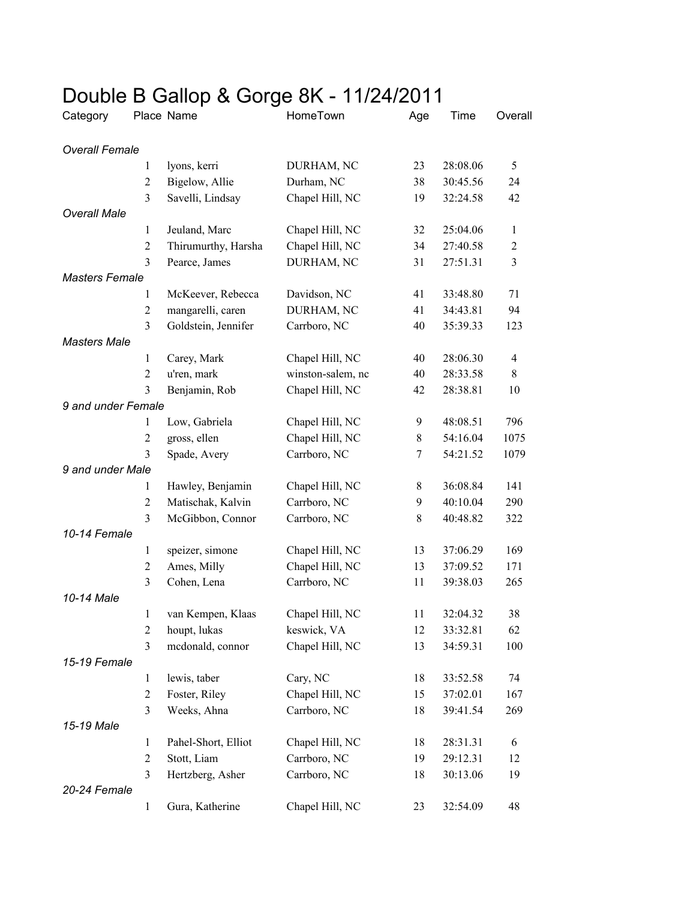## Double B Gallop & Gorge 8K - 11/24/2011

| Category              |                | Place Name          | HomeTown          | Age         | Time     | Overall        |
|-----------------------|----------------|---------------------|-------------------|-------------|----------|----------------|
| <b>Overall Female</b> |                |                     |                   |             |          |                |
|                       | 1              | lyons, kerri        | DURHAM, NC        | 23          | 28:08.06 | 5              |
|                       | $\overline{2}$ | Bigelow, Allie      | Durham, NC        | 38          | 30:45.56 | 24             |
|                       | 3              | Savelli, Lindsay    | Chapel Hill, NC   | 19          | 32:24.58 | 42             |
| <b>Overall Male</b>   |                |                     |                   |             |          |                |
|                       | $\mathbf{1}$   | Jeuland, Marc       | Chapel Hill, NC   | 32          | 25:04.06 | $\mathbf{1}$   |
|                       | $\overline{2}$ | Thirumurthy, Harsha | Chapel Hill, NC   | 34          | 27:40.58 | $\overline{c}$ |
|                       | 3              | Pearce, James       | DURHAM, NC        | 31          | 27:51.31 | 3              |
| <b>Masters Female</b> |                |                     |                   |             |          |                |
|                       | 1              | McKeever, Rebecca   | Davidson, NC      | 41          | 33:48.80 | 71             |
|                       | $\overline{2}$ | mangarelli, caren   | DURHAM, NC        | 41          | 34:43.81 | 94             |
|                       | $\overline{3}$ | Goldstein, Jennifer | Carrboro, NC      | 40          | 35:39.33 | 123            |
| <b>Masters Male</b>   |                |                     |                   |             |          |                |
|                       | $\mathbf{1}$   | Carey, Mark         | Chapel Hill, NC   | 40          | 28:06.30 | 4              |
|                       | $\overline{2}$ | u'ren, mark         | winston-salem, nc | 40          | 28:33.58 | 8              |
|                       | 3              | Benjamin, Rob       | Chapel Hill, NC   | 42          | 28:38.81 | 10             |
| 9 and under Female    |                |                     |                   |             |          |                |
|                       | 1              | Low, Gabriela       | Chapel Hill, NC   | 9           | 48:08.51 | 796            |
|                       | $\overline{2}$ | gross, ellen        | Chapel Hill, NC   | $8\,$       | 54:16.04 | 1075           |
|                       | 3              | Spade, Avery        | Carrboro, NC      | 7           | 54:21.52 | 1079           |
| 9 and under Male      |                |                     |                   |             |          |                |
|                       | $\mathbf{1}$   | Hawley, Benjamin    | Chapel Hill, NC   | 8           | 36:08.84 | 141            |
|                       | $\mathfrak{2}$ | Matischak, Kalvin   | Carrboro, NC      | 9           | 40:10.04 | 290            |
|                       | $\overline{3}$ | McGibbon, Connor    | Carrboro, NC      | $\,$ 8 $\,$ | 40:48.82 | 322            |
| 10-14 Female          |                |                     |                   |             |          |                |
|                       | $\mathbf{1}$   | speizer, simone     | Chapel Hill, NC   | 13          | 37:06.29 | 169            |
|                       | $\overline{2}$ | Ames, Milly         | Chapel Hill, NC   | 13          | 37:09.52 | 171            |
|                       | 3              | Cohen, Lena         | Carrboro, NC      | 11          | 39:38.03 | 265            |
| 10-14 Male            |                |                     |                   |             |          |                |
|                       | $\mathbf{1}$   | van Kempen, Klaas   | Chapel Hill, NC   | 11          | 32:04.32 | 38             |
|                       | $\overline{c}$ | houpt, lukas        | keswick, VA       | 12          | 33:32.81 | 62             |
|                       | $\overline{3}$ | mcdonald, connor    | Chapel Hill, NC   | 13          | 34:59.31 | 100            |
| 15-19 Female          |                |                     |                   |             |          |                |
|                       | $\mathbf{1}$   | lewis, taber        | Cary, NC          | 18          | 33:52.58 | 74             |
|                       | $\overline{2}$ | Foster, Riley       | Chapel Hill, NC   | 15          | 37:02.01 | 167            |
|                       | 3              | Weeks, Ahna         | Carrboro, NC      | 18          | 39:41.54 | 269            |
| 15-19 Male            |                |                     |                   |             |          |                |
|                       | $\mathbf{1}$   | Pahel-Short, Elliot | Chapel Hill, NC   | 18          | 28:31.31 | 6              |
|                       | $\overline{c}$ | Stott, Liam         | Carrboro, NC      | 19          | 29:12.31 | 12             |
|                       | 3              | Hertzberg, Asher    | Carrboro, NC      | 18          | 30:13.06 | 19             |
| 20-24 Female          |                |                     |                   |             |          |                |
|                       | $\mathbf{1}$   | Gura, Katherine     | Chapel Hill, NC   | 23          | 32:54.09 | 48             |
|                       |                |                     |                   |             |          |                |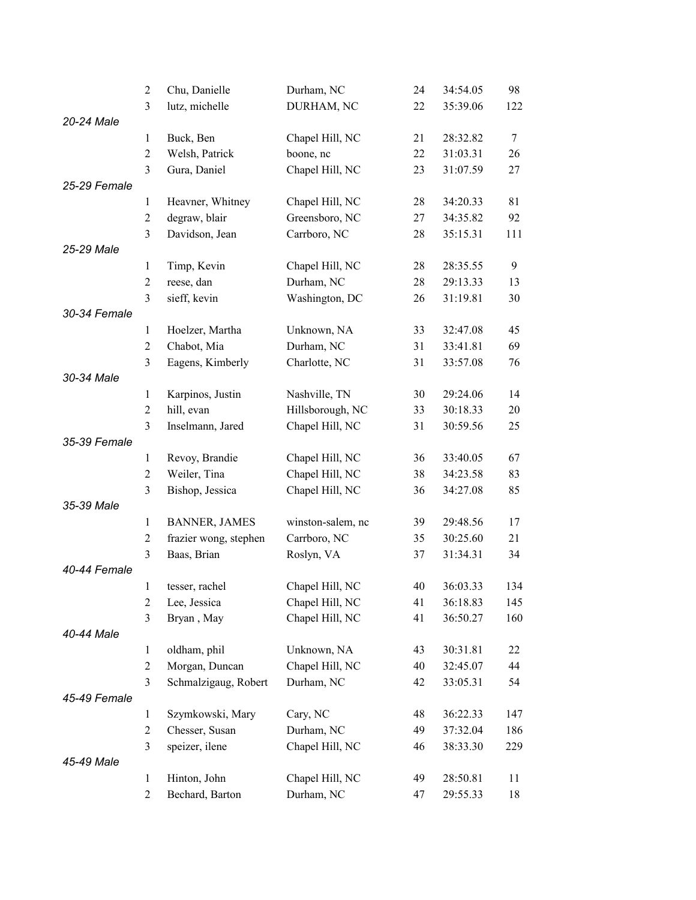|              | $\overline{2}$          | Chu, Danielle         | Durham, NC        | 24 | 34:54.05 | 98     |
|--------------|-------------------------|-----------------------|-------------------|----|----------|--------|
|              | 3                       | lutz, michelle        | DURHAM, NC        | 22 | 35:39.06 | 122    |
| 20-24 Male   |                         |                       |                   |    |          |        |
|              | $\mathbf{1}$            | Buck, Ben             | Chapel Hill, NC   | 21 | 28:32.82 | $\tau$ |
|              | $\overline{2}$          | Welsh, Patrick        | boone, nc         | 22 | 31:03.31 | 26     |
|              | $\overline{\mathbf{3}}$ | Gura, Daniel          | Chapel Hill, NC   | 23 | 31:07.59 | 27     |
| 25-29 Female |                         |                       |                   |    |          |        |
|              | $\mathbf{1}$            | Heavner, Whitney      | Chapel Hill, NC   | 28 | 34:20.33 | 81     |
|              | $\overline{2}$          | degraw, blair         | Greensboro, NC    | 27 | 34:35.82 | 92     |
|              | 3                       | Davidson, Jean        | Carrboro, NC      | 28 | 35:15.31 | 111    |
| 25-29 Male   |                         |                       |                   |    |          |        |
|              | $\mathbf{1}$            | Timp, Kevin           | Chapel Hill, NC   | 28 | 28:35.55 | 9      |
|              | $\overline{2}$          | reese, dan            | Durham, NC        | 28 | 29:13.33 | 13     |
|              | 3                       | sieff, kevin          | Washington, DC    | 26 | 31:19.81 | 30     |
| 30-34 Female |                         |                       |                   |    |          |        |
|              | $\mathbf{1}$            | Hoelzer, Martha       | Unknown, NA       | 33 | 32:47.08 | 45     |
|              | $\overline{2}$          | Chabot, Mia           | Durham, NC        | 31 | 33:41.81 | 69     |
|              | 3                       | Eagens, Kimberly      | Charlotte, NC     | 31 | 33:57.08 | 76     |
| 30-34 Male   |                         |                       |                   |    |          |        |
|              | $\mathbf{1}$            | Karpinos, Justin      | Nashville, TN     | 30 | 29:24.06 | 14     |
|              | $\overline{2}$          | hill, evan            | Hillsborough, NC  | 33 | 30:18.33 | 20     |
|              | 3                       | Inselmann, Jared      | Chapel Hill, NC   | 31 | 30:59.56 | 25     |
| 35-39 Female |                         |                       |                   |    |          |        |
|              | $\mathbf{1}$            | Revoy, Brandie        | Chapel Hill, NC   | 36 | 33:40.05 | 67     |
|              | $\overline{2}$          | Weiler, Tina          | Chapel Hill, NC   | 38 | 34:23.58 | 83     |
|              | 3                       | Bishop, Jessica       | Chapel Hill, NC   | 36 | 34:27.08 | 85     |
| 35-39 Male   |                         |                       |                   |    |          |        |
|              | $\mathbf{1}$            | <b>BANNER, JAMES</b>  | winston-salem, nc | 39 | 29:48.56 | 17     |
|              | $\overline{2}$          | frazier wong, stephen | Carrboro, NC      | 35 | 30:25.60 | 21     |
|              | 3                       | Baas, Brian           | Roslyn, VA        | 37 | 31:34.31 | 34     |
| 40-44 Female |                         |                       |                   |    |          |        |
|              | $\mathbf{1}$            | tesser, rachel        | Chapel Hill, NC   | 40 | 36:03.33 | 134    |
|              | $\boldsymbol{2}$        | Lee, Jessica          | Chapel Hill, NC   | 41 | 36:18.83 | 145    |
|              | 3                       | Bryan, May            | Chapel Hill, NC   | 41 | 36:50.27 | 160    |
| 40-44 Male   |                         |                       |                   |    |          |        |
|              | $\mathbf{1}$            | oldham, phil          | Unknown, NA       | 43 | 30:31.81 | 22     |
|              | $\overline{2}$          | Morgan, Duncan        | Chapel Hill, NC   | 40 | 32:45.07 | 44     |
|              | 3                       | Schmalzigaug, Robert  | Durham, NC        | 42 | 33:05.31 | 54     |
| 45-49 Female |                         |                       |                   |    |          |        |
|              | $\mathbf{1}$            | Szymkowski, Mary      | Cary, NC          | 48 | 36:22.33 | 147    |
|              | $\overline{c}$          | Chesser, Susan        | Durham, NC        | 49 | 37:32.04 | 186    |
|              | 3                       | speizer, ilene        | Chapel Hill, NC   | 46 | 38:33.30 | 229    |
| 45-49 Male   |                         |                       |                   |    |          |        |
|              | $\mathbf{1}$            | Hinton, John          | Chapel Hill, NC   | 49 | 28:50.81 | 11     |
|              | $\overline{c}$          | Bechard, Barton       | Durham, NC        | 47 | 29:55.33 | 18     |